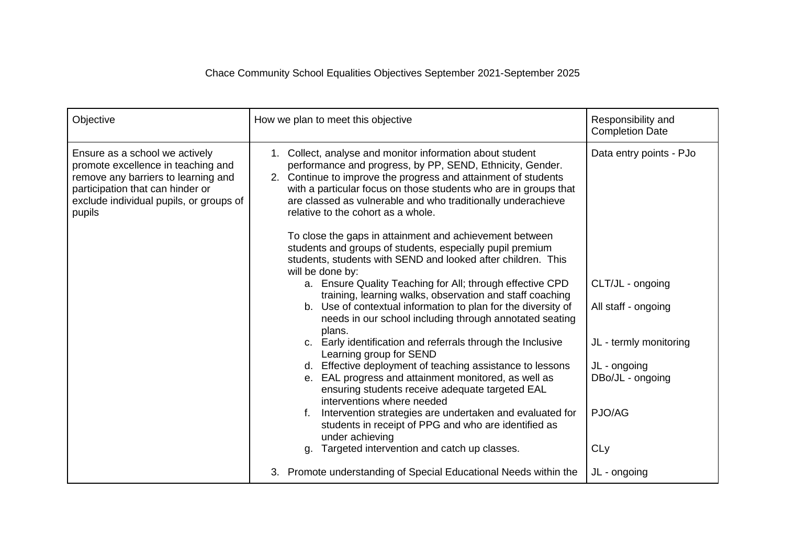| Objective                                                                                                                                                                                            | How we plan to meet this objective                                                                                                                                                                                                                                                                                                                                 | Responsibility and<br><b>Completion Date</b> |
|------------------------------------------------------------------------------------------------------------------------------------------------------------------------------------------------------|--------------------------------------------------------------------------------------------------------------------------------------------------------------------------------------------------------------------------------------------------------------------------------------------------------------------------------------------------------------------|----------------------------------------------|
| Ensure as a school we actively<br>promote excellence in teaching and<br>remove any barriers to learning and<br>participation that can hinder or<br>exclude individual pupils, or groups of<br>pupils | 1. Collect, analyse and monitor information about student<br>performance and progress, by PP, SEND, Ethnicity, Gender.<br>2. Continue to improve the progress and attainment of students<br>with a particular focus on those students who are in groups that<br>are classed as vulnerable and who traditionally underachieve<br>relative to the cohort as a whole. | Data entry points - PJo                      |
|                                                                                                                                                                                                      | To close the gaps in attainment and achievement between<br>students and groups of students, especially pupil premium<br>students, students with SEND and looked after children. This<br>will be done by:                                                                                                                                                           |                                              |
|                                                                                                                                                                                                      | a. Ensure Quality Teaching for All; through effective CPD<br>training, learning walks, observation and staff coaching                                                                                                                                                                                                                                              | CLT/JL - ongoing                             |
|                                                                                                                                                                                                      | b. Use of contextual information to plan for the diversity of<br>needs in our school including through annotated seating<br>plans.                                                                                                                                                                                                                                 | All staff - ongoing                          |
|                                                                                                                                                                                                      | c. Early identification and referrals through the Inclusive<br>Learning group for SEND                                                                                                                                                                                                                                                                             | JL - termly monitoring                       |
|                                                                                                                                                                                                      | d. Effective deployment of teaching assistance to lessons<br>e. EAL progress and attainment monitored, as well as                                                                                                                                                                                                                                                  | JL - ongoing<br>DBo/JL - ongoing             |
|                                                                                                                                                                                                      | ensuring students receive adequate targeted EAL<br>interventions where needed<br>Intervention strategies are undertaken and evaluated for<br>students in receipt of PPG and who are identified as                                                                                                                                                                  | PJO/AG                                       |
|                                                                                                                                                                                                      | under achieving<br>g. Targeted intervention and catch up classes.                                                                                                                                                                                                                                                                                                  | CLy                                          |
|                                                                                                                                                                                                      | 3. Promote understanding of Special Educational Needs within the                                                                                                                                                                                                                                                                                                   | JL - ongoing                                 |